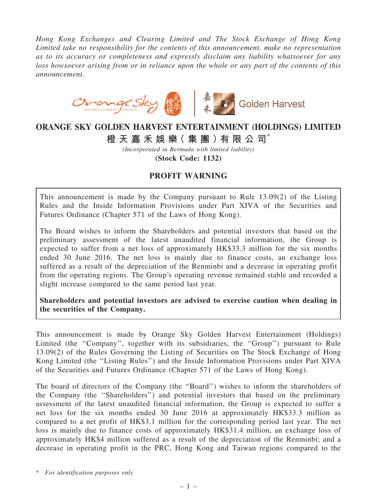Hong Kong Exchanges and Clearing Limited and The Stock Exchange of Hong Kong Limited take no responsibility for the contents of this announcement, make no representation as to its accuracy or completeness and expressly disclaim any liability whatsoever for any loss howsoever arising from or in reliance upon the whole or any part of the contents of this announcement.



## ORANGE SKY GOLDEN HARVEST ENTERTAINMENT (HOLDINGS) LIMITED

橙 天 嘉 禾 娛 樂( 集 團 )有 限 公 司\*

(Incorporated in Bermuda with limited liability) (Stock Code: 1132)

## PROFIT WARNING

This announcement is made by the Company pursuant to Rule 13.09(2) of the Listing Rules and the Inside Information Provisions under Part XIVA of the Securities and Futures Ordinance (Chapter 571 of the Laws of Hong Kong).

The Board wishes to inform the Shareholders and potential investors that based on the preliminary assessment of the latest unaudited financial information, the Group is expected to suffer from a net loss of approximately HK\$33.3 million for the six months ended 30 June 2016. The net loss is mainly due to finance costs, an exchange loss suffered as a result of the depreciation of the Renminbi and a decrease in operating profit from the operating regions. The Group's operating revenue remained stable and recorded a slight increase compared to the same period last year.

Shareholders and potential investors are advised to exercise caution when dealing in the securities of the Company.

This announcement is made by Orange Sky Golden Harvest Entertainment (Holdings) Limited (the "Company", together with its subsidiaries, the "Group") pursuant to Rule 13.09(2) of the Rules Governing the Listing of Securities on The Stock Exchange of Hong Kong Limited (the ''Listing Rules'') and the Inside Information Provisions under Part XIVA of the Securities and Futures Ordinance (Chapter 571 of the Laws of Hong Kong).

The board of directors of the Company (the ''Board'') wishes to inform the shareholders of the Company (the ''Shareholders'') and potential investors that based on the preliminary assessment of the latest unaudited financial information, the Group is expected to suffer a net loss for the six months ended 30 June 2016 at approximately HK\$33.3 million as compared to a net profit of HK\$3.1 million for the corresponding period last year. The net loss is mainly due to finance costs of approximately HK\$31.4 million, an exchange loss of approximately HK\$4 million suffered as a result of the depreciation of the Renminbi; and a decrease in operating profit in the PRC, Hong Kong and Taiwan regions compared to the

\* For identification purposes only